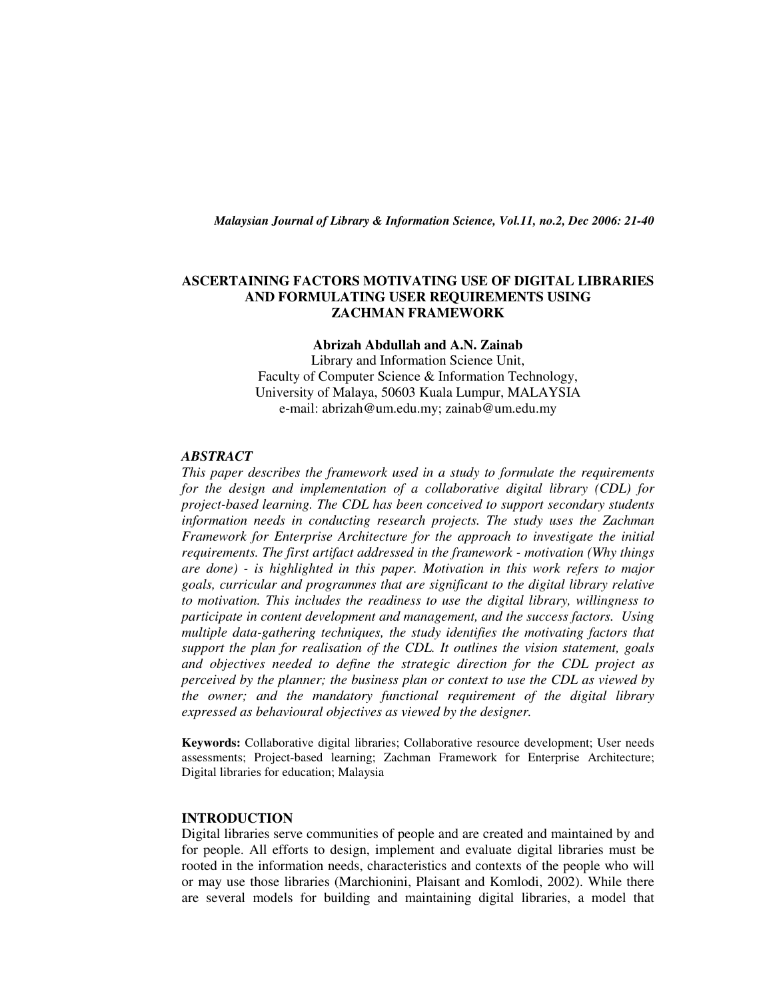*Malaysian Journal of Library & Information Science, Vol.11, no.2, Dec 2006: 21-40* 

## **ASCERTAINING FACTORS MOTIVATING USE OF DIGITAL LIBRARIES AND FORMULATING USER REQUIREMENTS USING ZACHMAN FRAMEWORK**

**Abrizah Abdullah and A.N. Zainab** 

Library and Information Science Unit, Faculty of Computer Science & Information Technology, University of Malaya, 50603 Kuala Lumpur, MALAYSIA e-mail: abrizah@um.edu.my; zainab@um.edu.my

### *ABSTRACT*

*This paper describes the framework used in a study to formulate the requirements for the design and implementation of a collaborative digital library (CDL) for project-based learning. The CDL has been conceived to support secondary students information needs in conducting research projects. The study uses the Zachman Framework for Enterprise Architecture for the approach to investigate the initial requirements. The first artifact addressed in the framework - motivation (Why things are done) - is highlighted in this paper. Motivation in this work refers to major goals, curricular and programmes that are significant to the digital library relative to motivation. This includes the readiness to use the digital library, willingness to participate in content development and management, and the success factors. Using multiple data-gathering techniques, the study identifies the motivating factors that support the plan for realisation of the CDL. It outlines the vision statement, goals and objectives needed to define the strategic direction for the CDL project as perceived by the planner; the business plan or context to use the CDL as viewed by the owner; and the mandatory functional requirement of the digital library expressed as behavioural objectives as viewed by the designer.* 

**Keywords:** Collaborative digital libraries; Collaborative resource development; User needs assessments; Project-based learning; Zachman Framework for Enterprise Architecture; Digital libraries for education; Malaysia

### **INTRODUCTION**

Digital libraries serve communities of people and are created and maintained by and for people. All efforts to design, implement and evaluate digital libraries must be rooted in the information needs, characteristics and contexts of the people who will or may use those libraries (Marchionini, Plaisant and Komlodi, 2002). While there are several models for building and maintaining digital libraries, a model that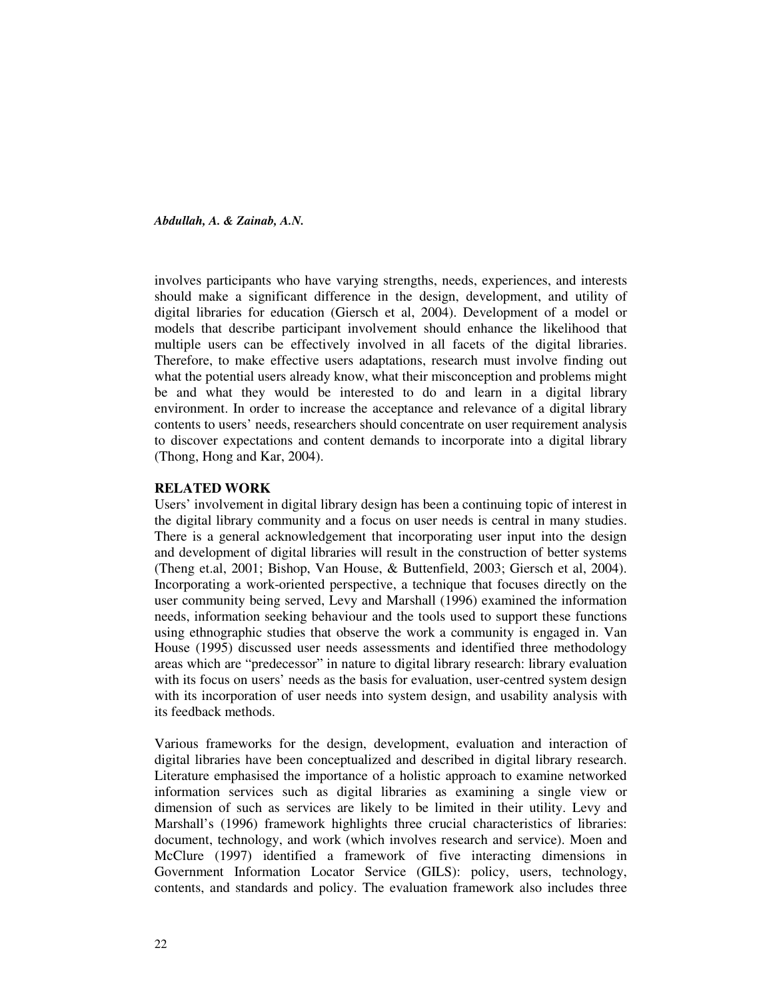involves participants who have varying strengths, needs, experiences, and interests should make a significant difference in the design, development, and utility of digital libraries for education (Giersch et al, 2004). Development of a model or models that describe participant involvement should enhance the likelihood that multiple users can be effectively involved in all facets of the digital libraries. Therefore, to make effective users adaptations, research must involve finding out what the potential users already know, what their misconception and problems might be and what they would be interested to do and learn in a digital library environment. In order to increase the acceptance and relevance of a digital library contents to users' needs, researchers should concentrate on user requirement analysis to discover expectations and content demands to incorporate into a digital library (Thong, Hong and Kar, 2004).

### **RELATED WORK**

Users' involvement in digital library design has been a continuing topic of interest in the digital library community and a focus on user needs is central in many studies. There is a general acknowledgement that incorporating user input into the design and development of digital libraries will result in the construction of better systems (Theng et.al, 2001; Bishop, Van House, & Buttenfield, 2003; Giersch et al, 2004). Incorporating a work-oriented perspective, a technique that focuses directly on the user community being served, Levy and Marshall (1996) examined the information needs, information seeking behaviour and the tools used to support these functions using ethnographic studies that observe the work a community is engaged in. Van House (1995) discussed user needs assessments and identified three methodology areas which are "predecessor" in nature to digital library research: library evaluation with its focus on users' needs as the basis for evaluation, user-centred system design with its incorporation of user needs into system design, and usability analysis with its feedback methods.

Various frameworks for the design, development, evaluation and interaction of digital libraries have been conceptualized and described in digital library research. Literature emphasised the importance of a holistic approach to examine networked information services such as digital libraries as examining a single view or dimension of such as services are likely to be limited in their utility. Levy and Marshall's (1996) framework highlights three crucial characteristics of libraries: document, technology, and work (which involves research and service). Moen and McClure (1997) identified a framework of five interacting dimensions in Government Information Locator Service (GILS): policy, users, technology, contents, and standards and policy. The evaluation framework also includes three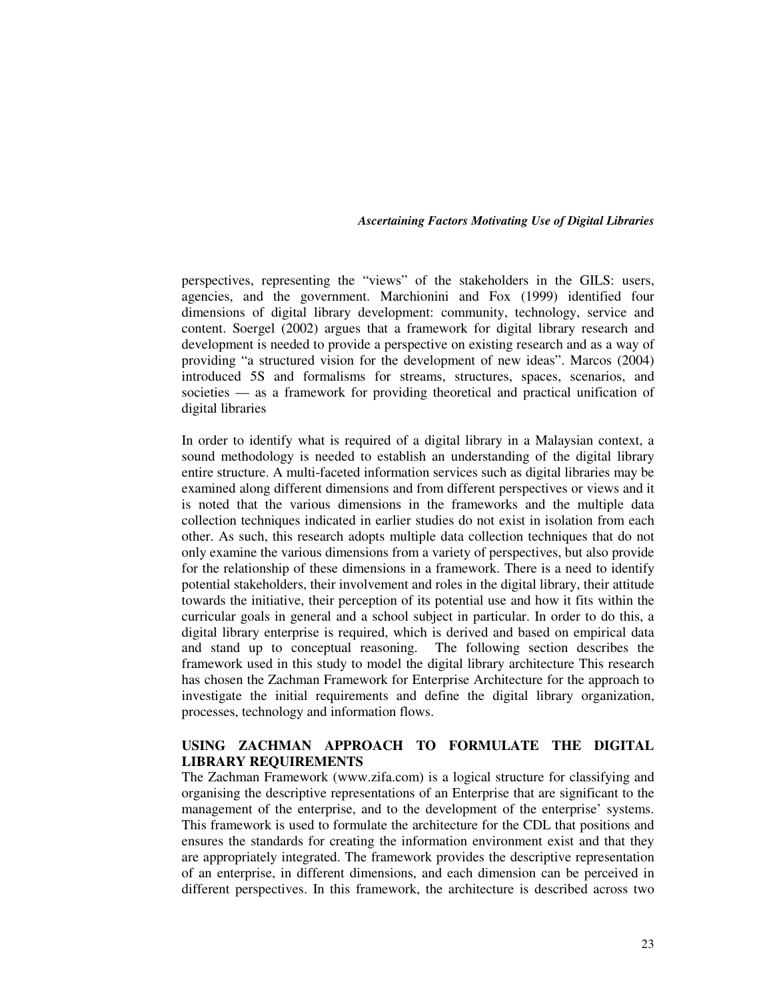perspectives, representing the "views" of the stakeholders in the GILS: users, agencies, and the government. Marchionini and Fox (1999) identified four dimensions of digital library development: community, technology, service and content. Soergel (2002) argues that a framework for digital library research and development is needed to provide a perspective on existing research and as a way of providing "a structured vision for the development of new ideas". Marcos (2004) introduced 5S and formalisms for streams, structures, spaces, scenarios, and societies — as a framework for providing theoretical and practical unification of digital libraries

In order to identify what is required of a digital library in a Malaysian context, a sound methodology is needed to establish an understanding of the digital library entire structure. A multi-faceted information services such as digital libraries may be examined along different dimensions and from different perspectives or views and it is noted that the various dimensions in the frameworks and the multiple data collection techniques indicated in earlier studies do not exist in isolation from each other. As such, this research adopts multiple data collection techniques that do not only examine the various dimensions from a variety of perspectives, but also provide for the relationship of these dimensions in a framework. There is a need to identify potential stakeholders, their involvement and roles in the digital library, their attitude towards the initiative, their perception of its potential use and how it fits within the curricular goals in general and a school subject in particular. In order to do this, a digital library enterprise is required, which is derived and based on empirical data and stand up to conceptual reasoning. The following section describes the framework used in this study to model the digital library architecture This research has chosen the Zachman Framework for Enterprise Architecture for the approach to investigate the initial requirements and define the digital library organization, processes, technology and information flows.

# **USING ZACHMAN APPROACH TO FORMULATE THE DIGITAL LIBRARY REQUIREMENTS**

The Zachman Framework (www.zifa.com) is a logical structure for classifying and organising the descriptive representations of an Enterprise that are significant to the management of the enterprise, and to the development of the enterprise' systems. This framework is used to formulate the architecture for the CDL that positions and ensures the standards for creating the information environment exist and that they are appropriately integrated. The framework provides the descriptive representation of an enterprise, in different dimensions, and each dimension can be perceived in different perspectives. In this framework, the architecture is described across two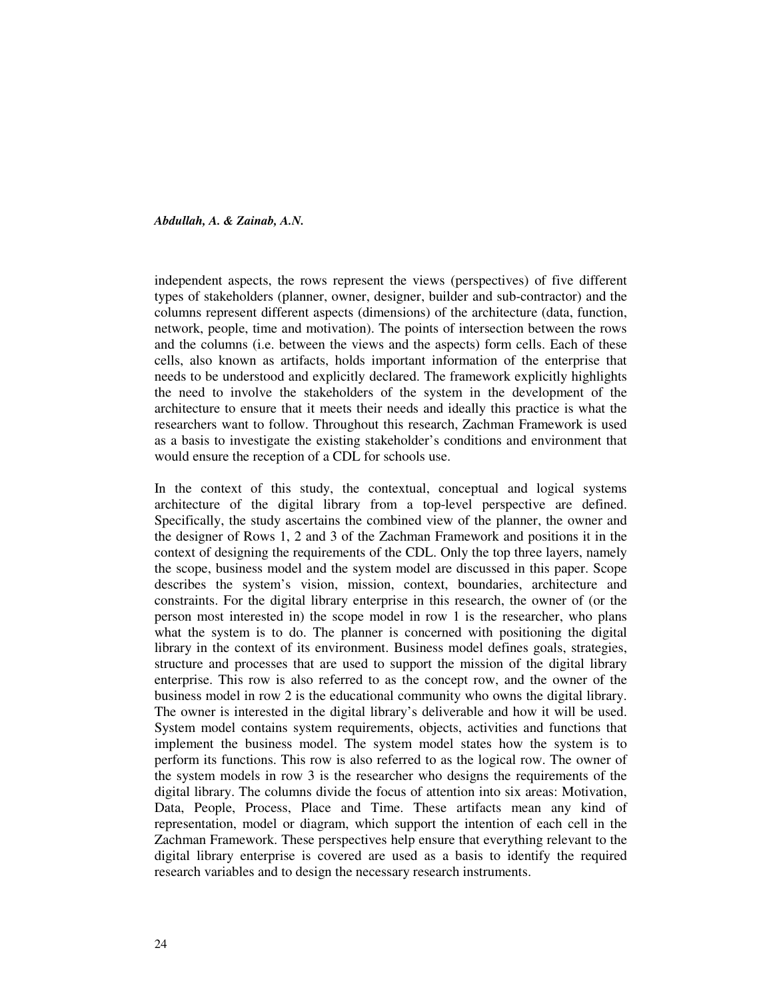independent aspects, the rows represent the views (perspectives) of five different types of stakeholders (planner, owner, designer, builder and sub-contractor) and the columns represent different aspects (dimensions) of the architecture (data, function, network, people, time and motivation). The points of intersection between the rows and the columns (i.e. between the views and the aspects) form cells. Each of these cells, also known as artifacts, holds important information of the enterprise that needs to be understood and explicitly declared. The framework explicitly highlights the need to involve the stakeholders of the system in the development of the architecture to ensure that it meets their needs and ideally this practice is what the researchers want to follow. Throughout this research, Zachman Framework is used as a basis to investigate the existing stakeholder's conditions and environment that would ensure the reception of a CDL for schools use.

In the context of this study, the contextual, conceptual and logical systems architecture of the digital library from a top-level perspective are defined. Specifically, the study ascertains the combined view of the planner, the owner and the designer of Rows 1, 2 and 3 of the Zachman Framework and positions it in the context of designing the requirements of the CDL. Only the top three layers, namely the scope, business model and the system model are discussed in this paper. Scope describes the system's vision, mission, context, boundaries, architecture and constraints. For the digital library enterprise in this research, the owner of (or the person most interested in) the scope model in row 1 is the researcher, who plans what the system is to do. The planner is concerned with positioning the digital library in the context of its environment. Business model defines goals, strategies, structure and processes that are used to support the mission of the digital library enterprise. This row is also referred to as the concept row, and the owner of the business model in row 2 is the educational community who owns the digital library. The owner is interested in the digital library's deliverable and how it will be used. System model contains system requirements, objects, activities and functions that implement the business model. The system model states how the system is to perform its functions. This row is also referred to as the logical row. The owner of the system models in row 3 is the researcher who designs the requirements of the digital library. The columns divide the focus of attention into six areas: Motivation, Data, People, Process, Place and Time. These artifacts mean any kind of representation, model or diagram, which support the intention of each cell in the Zachman Framework. These perspectives help ensure that everything relevant to the digital library enterprise is covered are used as a basis to identify the required research variables and to design the necessary research instruments.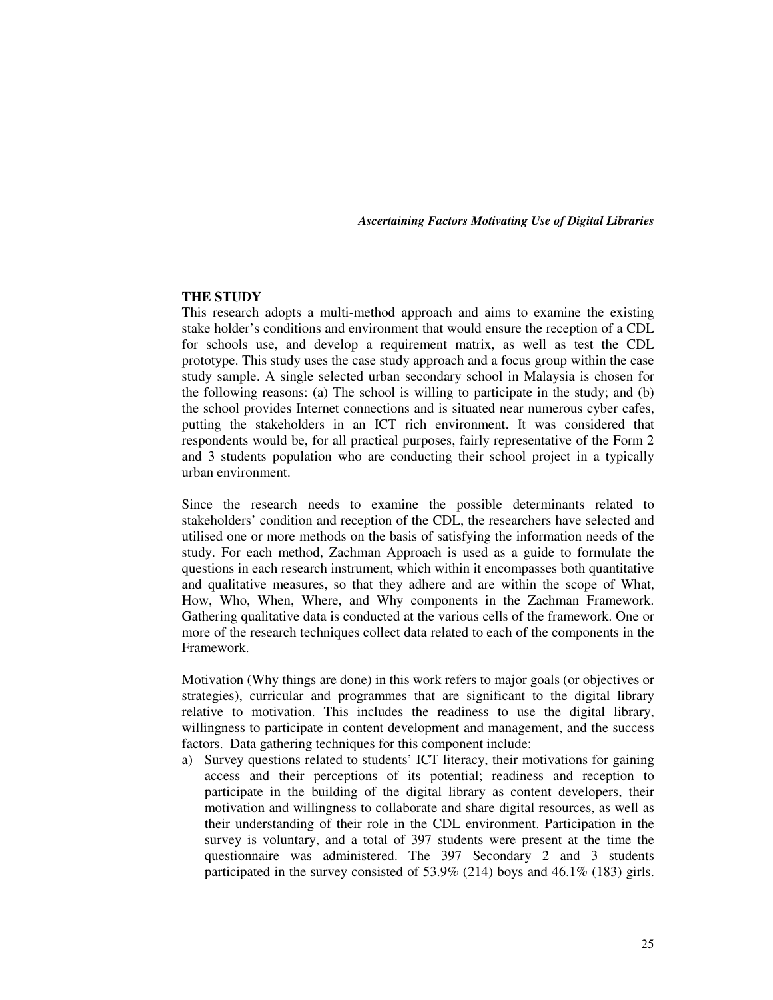### **THE STUDY**

This research adopts a multi-method approach and aims to examine the existing stake holder's conditions and environment that would ensure the reception of a CDL for schools use, and develop a requirement matrix, as well as test the CDL prototype. This study uses the case study approach and a focus group within the case study sample. A single selected urban secondary school in Malaysia is chosen for the following reasons: (a) The school is willing to participate in the study; and (b) the school provides Internet connections and is situated near numerous cyber cafes, putting the stakeholders in an ICT rich environment. It was considered that respondents would be, for all practical purposes, fairly representative of the Form 2 and 3 students population who are conducting their school project in a typically urban environment.

Since the research needs to examine the possible determinants related to stakeholders' condition and reception of the CDL, the researchers have selected and utilised one or more methods on the basis of satisfying the information needs of the study. For each method, Zachman Approach is used as a guide to formulate the questions in each research instrument, which within it encompasses both quantitative and qualitative measures, so that they adhere and are within the scope of What, How, Who, When, Where, and Why components in the Zachman Framework. Gathering qualitative data is conducted at the various cells of the framework. One or more of the research techniques collect data related to each of the components in the Framework.

Motivation (Why things are done) in this work refers to major goals (or objectives or strategies), curricular and programmes that are significant to the digital library relative to motivation. This includes the readiness to use the digital library, willingness to participate in content development and management, and the success factors. Data gathering techniques for this component include:

a) Survey questions related to students' ICT literacy, their motivations for gaining access and their perceptions of its potential; readiness and reception to participate in the building of the digital library as content developers, their motivation and willingness to collaborate and share digital resources, as well as their understanding of their role in the CDL environment. Participation in the survey is voluntary, and a total of 397 students were present at the time the questionnaire was administered. The 397 Secondary 2 and 3 students participated in the survey consisted of 53.9% (214) boys and 46.1% (183) girls.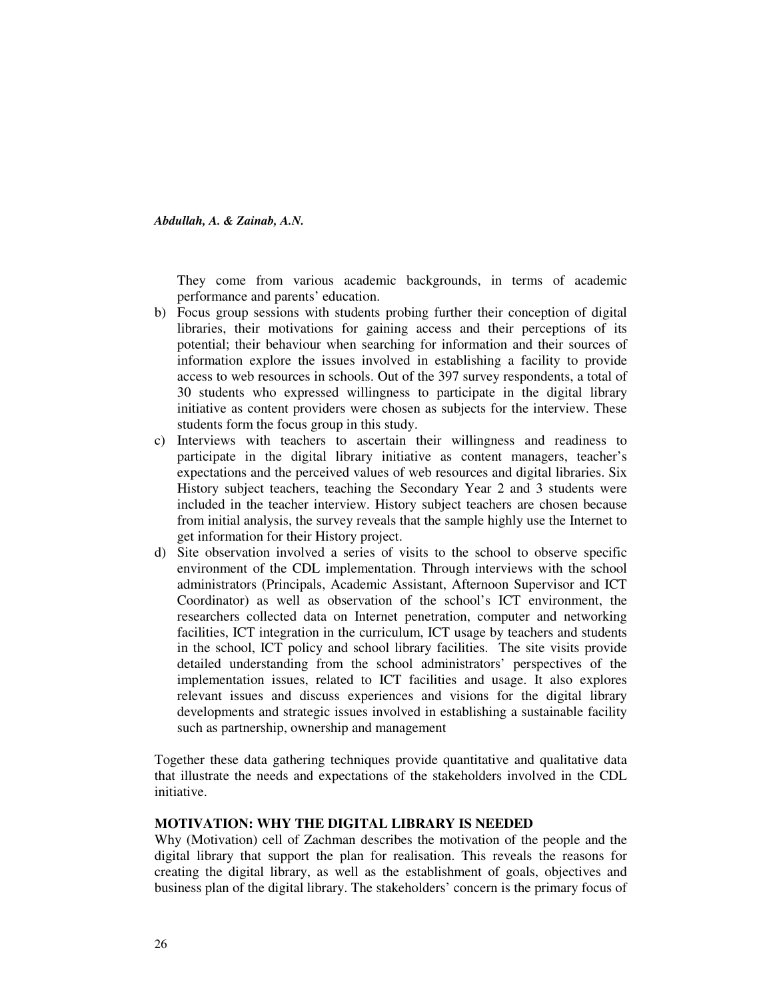They come from various academic backgrounds, in terms of academic performance and parents' education.

- b) Focus group sessions with students probing further their conception of digital libraries, their motivations for gaining access and their perceptions of its potential; their behaviour when searching for information and their sources of information explore the issues involved in establishing a facility to provide access to web resources in schools. Out of the 397 survey respondents, a total of 30 students who expressed willingness to participate in the digital library initiative as content providers were chosen as subjects for the interview. These students form the focus group in this study.
- c) Interviews with teachers to ascertain their willingness and readiness to participate in the digital library initiative as content managers, teacher's expectations and the perceived values of web resources and digital libraries. Six History subject teachers, teaching the Secondary Year 2 and 3 students were included in the teacher interview. History subject teachers are chosen because from initial analysis, the survey reveals that the sample highly use the Internet to get information for their History project.
- d) Site observation involved a series of visits to the school to observe specific environment of the CDL implementation. Through interviews with the school administrators (Principals, Academic Assistant, Afternoon Supervisor and ICT Coordinator) as well as observation of the school's ICT environment, the researchers collected data on Internet penetration, computer and networking facilities, ICT integration in the curriculum, ICT usage by teachers and students in the school, ICT policy and school library facilities. The site visits provide detailed understanding from the school administrators' perspectives of the implementation issues, related to ICT facilities and usage. It also explores relevant issues and discuss experiences and visions for the digital library developments and strategic issues involved in establishing a sustainable facility such as partnership, ownership and management

Together these data gathering techniques provide quantitative and qualitative data that illustrate the needs and expectations of the stakeholders involved in the CDL initiative.

### **MOTIVATION: WHY THE DIGITAL LIBRARY IS NEEDED**

Why (Motivation) cell of Zachman describes the motivation of the people and the digital library that support the plan for realisation. This reveals the reasons for creating the digital library, as well as the establishment of goals, objectives and business plan of the digital library. The stakeholders' concern is the primary focus of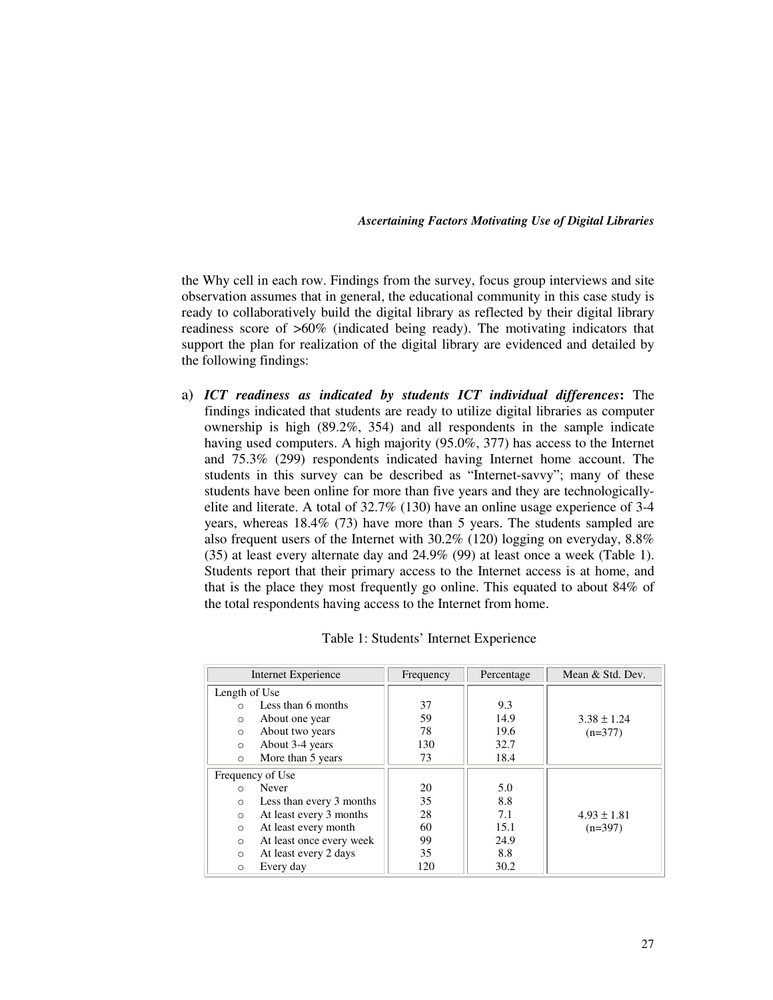the Why cell in each row. Findings from the survey, focus group interviews and site observation assumes that in general, the educational community in this case study is ready to collaboratively build the digital library as reflected by their digital library readiness score of >60% (indicated being ready). The motivating indicators that support the plan for realization of the digital library are evidenced and detailed by the following findings:

a) *ICT readiness as indicated by students ICT individual differences***:** The findings indicated that students are ready to utilize digital libraries as computer ownership is high (89.2%, 354) and all respondents in the sample indicate having used computers. A high majority (95.0%, 377) has access to the Internet and 75.3% (299) respondents indicated having Internet home account. The students in this survey can be described as "Internet-savvy"; many of these students have been online for more than five years and they are technologicallyelite and literate. A total of 32.7% (130) have an online usage experience of 3-4 years, whereas 18.4% (73) have more than 5 years. The students sampled are also frequent users of the Internet with 30.2% (120) logging on everyday, 8.8% (35) at least every alternate day and 24.9% (99) at least once a week (Table 1). Students report that their primary access to the Internet access is at home, and that is the place they most frequently go online. This equated to about 84% of the total respondents having access to the Internet from home.

| Internet Experience                  | Frequency | Percentage | Mean & Std. Dev. |
|--------------------------------------|-----------|------------|------------------|
| Length of Use                        |           |            |                  |
| Less than 6 months<br>$\bigcap$      | 37        | 9.3        |                  |
| About one year<br>$\circ$            | 59        | 14.9       | $3.38 \pm 1.24$  |
| About two years<br>$\circ$           | 78        | 19.6       | $(n=377)$        |
| About 3-4 years<br>$\circ$           | 130       | 32.7       |                  |
| More than 5 years<br>$\circ$         | 73        | 18.4       |                  |
| Frequency of Use                     |           |            |                  |
| Never<br>$\Omega$                    | 20        | 5.0        |                  |
| Less than every 3 months<br>$\Omega$ | 35        | 8.8        |                  |
| At least every 3 months<br>$\circ$   | 28        | 7.1        | $4.93 \pm 1.81$  |
| At least every month<br>$\circ$      | 60        | 15.1       | $(n=397)$        |
| At least once every week<br>$\circ$  | 99        | 24.9       |                  |
| At least every 2 days<br>$\Omega$    | 35        | 8.8        |                  |
| Every day<br>$\circ$                 | 120       | 30.2       |                  |

Table 1: Students' Internet Experience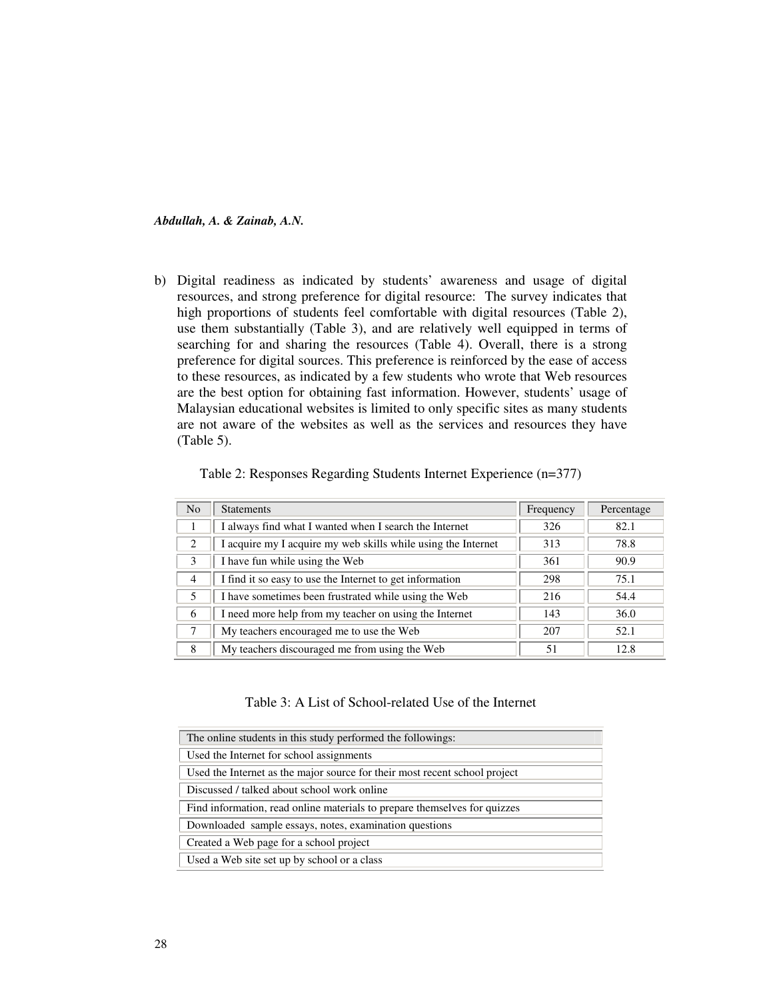b) Digital readiness as indicated by students' awareness and usage of digital resources, and strong preference for digital resource: The survey indicates that high proportions of students feel comfortable with digital resources (Table 2), use them substantially (Table 3), and are relatively well equipped in terms of searching for and sharing the resources (Table 4). Overall, there is a strong preference for digital sources. This preference is reinforced by the ease of access to these resources, as indicated by a few students who wrote that Web resources are the best option for obtaining fast information. However, students' usage of Malaysian educational websites is limited to only specific sites as many students are not aware of the websites as well as the services and resources they have (Table 5).

| N <sub>o</sub> | <b>Statements</b>                                             | Frequency | Percentage |
|----------------|---------------------------------------------------------------|-----------|------------|
|                | I always find what I wanted when I search the Internet        | 326       | 82.1       |
| 2              | I acquire my I acquire my web skills while using the Internet | 313       | 78.8       |
| $\mathcal{E}$  | I have fun while using the Web                                | 361       | 90.9       |
| $\overline{4}$ | I find it so easy to use the Internet to get information      | 298       | 75.1       |
| $\sim$         | I have sometimes been frustrated while using the Web          | 216       | 54.4       |
| 6              | I need more help from my teacher on using the Internet        | 143       | 36.0       |
|                | My teachers encouraged me to use the Web                      | 207       | 52.1       |
| 8              | My teachers discouraged me from using the Web                 | 51        | 12.8       |

Table 2: Responses Regarding Students Internet Experience (n=377)

### Table 3: A List of School-related Use of the Internet

| The online students in this study performed the followings:                |
|----------------------------------------------------------------------------|
| Used the Internet for school assignments                                   |
| Used the Internet as the major source for their most recent school project |
| Discussed / talked about school work online                                |
| Find information, read online materials to prepare themselves for quizzes  |
| Downloaded sample essays, notes, examination questions                     |
| Created a Web page for a school project                                    |
| Used a Web site set up by school or a class                                |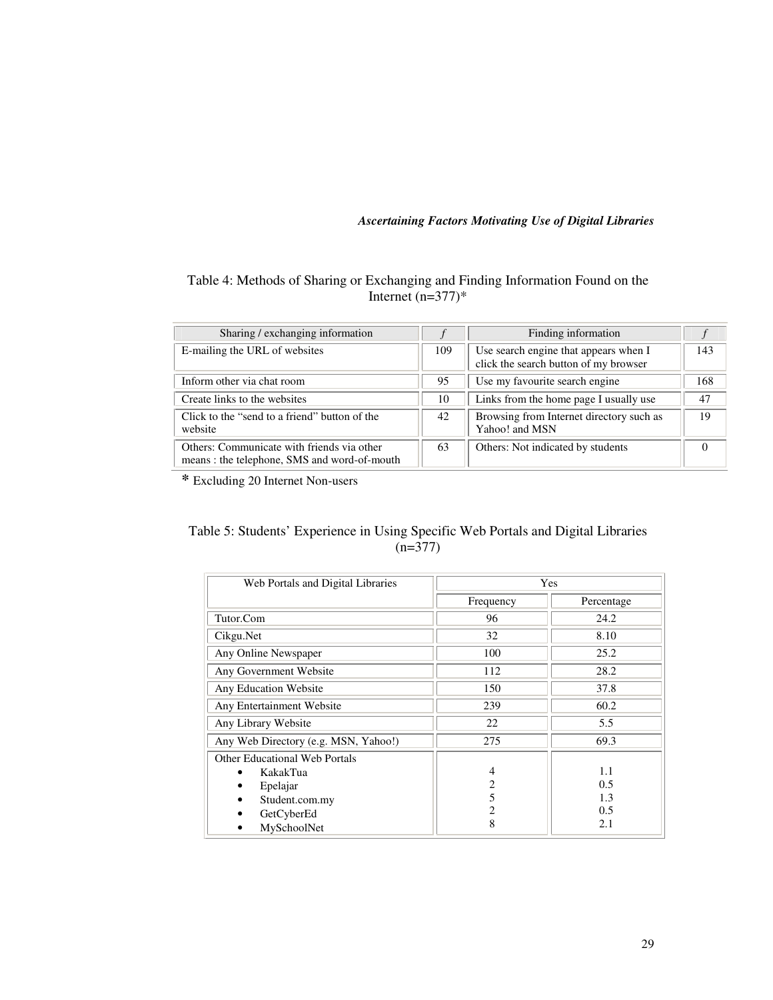# Table 4: Methods of Sharing or Exchanging and Finding Information Found on the Internet  $(n=377)*$

| Sharing / exchanging information                                                          |     | Finding information                                                            |     |
|-------------------------------------------------------------------------------------------|-----|--------------------------------------------------------------------------------|-----|
| E-mailing the URL of websites                                                             | 109 | Use search engine that appears when I<br>click the search button of my browser | 143 |
| Inform other via chat room                                                                | 95  | Use my favourite search engine                                                 | 168 |
| Create links to the websites                                                              | 10  | Links from the home page I usually use                                         | 47  |
| Click to the "send to a friend" button of the<br>website                                  | 42  | Browsing from Internet directory such as<br>Yahoo! and MSN                     | 19  |
| Others: Communicate with friends via other<br>means: the telephone, SMS and word-of-mouth | 63  | Others: Not indicated by students                                              | 0   |

**\*** Excluding 20 Internet Non-users

# Table 5: Students' Experience in Using Specific Web Portals and Digital Libraries (n=377)

| Web Portals and Digital Libraries    | Yes            |            |  |  |
|--------------------------------------|----------------|------------|--|--|
|                                      | Frequency      | Percentage |  |  |
| Tutor.Com                            | 96             | 24.2       |  |  |
| Cikgu.Net                            | 32             | 8.10       |  |  |
| Any Online Newspaper                 | 100            | 25.2       |  |  |
| Any Government Website               | 112            | 28.2       |  |  |
| Any Education Website                | 150            | 37.8       |  |  |
| Any Entertainment Website            | 239            | 60.2       |  |  |
| Any Library Website                  | 22             | 5.5        |  |  |
| Any Web Directory (e.g. MSN, Yahoo!) | 275            | 69.3       |  |  |
| <b>Other Educational Web Portals</b> |                |            |  |  |
| KakakTua                             | $\overline{4}$ | 1.1        |  |  |
| Epelajar<br>٠                        | 2              | 0.5        |  |  |
| Student.com.my<br>٠                  | 5              | 1.3        |  |  |
| GetCyberEd                           | 2              | 0.5        |  |  |
| MySchoolNet<br>٠                     | 8              | 2.1        |  |  |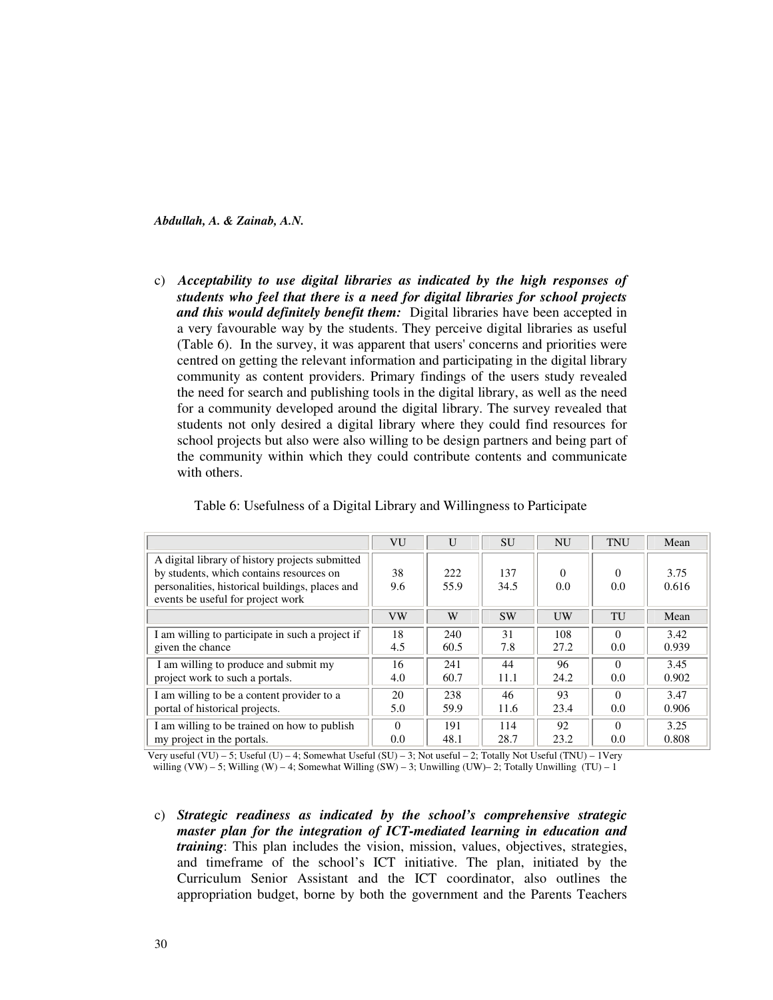c) *Acceptability to use digital libraries as indicated by the high responses of students who feel that there is a need for digital libraries for school projects and this would definitely benefit them:* Digital libraries have been accepted in a very favourable way by the students. They perceive digital libraries as useful (Table 6). In the survey, it was apparent that users' concerns and priorities were centred on getting the relevant information and participating in the digital library community as content providers. Primary findings of the users study revealed the need for search and publishing tools in the digital library, as well as the need for a community developed around the digital library. The survey revealed that students not only desired a digital library where they could find resources for school projects but also were also willing to be design partners and being part of the community within which they could contribute contents and communicate with others.

|                                                  | VU        | $\mathbf{U}$ | <b>SU</b> | <b>NU</b> | <b>TNU</b>    | Mean  |
|--------------------------------------------------|-----------|--------------|-----------|-----------|---------------|-------|
| A digital library of history projects submitted  |           |              |           |           |               |       |
| by students, which contains resources on         | 38        | 222          | 137       | $\Omega$  | 0             | 3.75  |
| personalities, historical buildings, places and  | 9.6       | 55.9         | 34.5      | 0.0       | 0.0           | 0.616 |
| events be useful for project work                |           |              |           |           |               |       |
|                                                  | <b>VW</b> | W            | <b>SW</b> | UW        | TU            | Mean  |
| I am willing to participate in such a project if | 18        | 240          | 31        | 108       | $\Omega$      | 3.42  |
| given the chance                                 | 4.5       | 60.5         | 7.8       | 27.2      | $0.0^{\circ}$ | 0.939 |
| I am willing to produce and submit my            | 16        | 241          | 44        | 96        | $\Omega$      | 3.45  |
| project work to such a portals.                  | 4.0       | 60.7         | 11.1      | 24.2      | 0.0           | 0.902 |
| I am willing to be a content provider to a       | 20        | 238          | 46        | 93        | 0             | 3.47  |
| portal of historical projects.                   | 5.0       | 59.9         | 11.6      | 23.4      | $0.0^{\circ}$ | 0.906 |
| I am willing to be trained on how to publish     | $\Omega$  | 191          | 114       | 92        | $\Omega$      | 3.25  |
| my project in the portals.                       | 0.0       | 48.1         | 28.7      | 23.2      | 0.0           | 0.808 |

Table 6: Usefulness of a Digital Library and Willingness to Participate

Very useful (VU) – 5; Useful (U) – 4; Somewhat Useful (SU) – 3; Not useful – 2; Totally Not Useful (TNU) – 1Very willing (VW) – 5; Willing (W) – 4; Somewhat Willing (SW) – 3; Unwilling (UW)– 2; Totally Unwilling (TU) – 1

c) *Strategic readiness as indicated by the school's comprehensive strategic master plan for the integration of ICT-mediated learning in education and training*: This plan includes the vision, mission, values, objectives, strategies, and timeframe of the school's ICT initiative. The plan, initiated by the Curriculum Senior Assistant and the ICT coordinator, also outlines the appropriation budget, borne by both the government and the Parents Teachers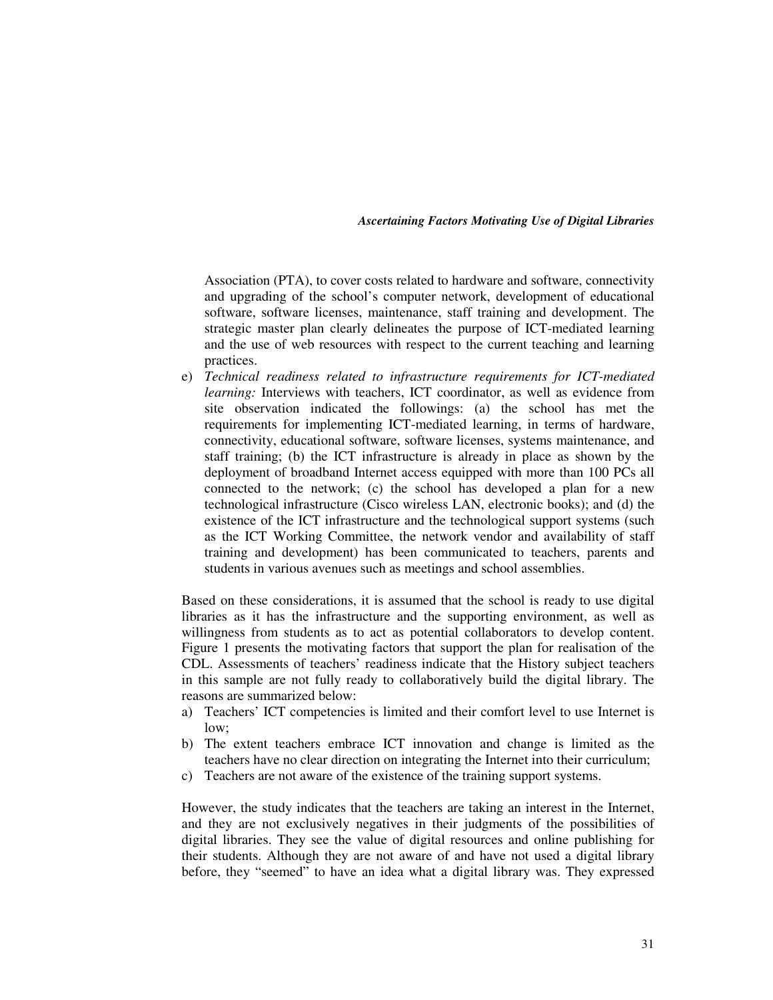Association (PTA), to cover costs related to hardware and software, connectivity and upgrading of the school's computer network, development of educational software, software licenses, maintenance, staff training and development. The strategic master plan clearly delineates the purpose of ICT-mediated learning and the use of web resources with respect to the current teaching and learning practices.

e) *Technical readiness related to infrastructure requirements for ICT-mediated learning:* Interviews with teachers, ICT coordinator, as well as evidence from site observation indicated the followings: (a) the school has met the requirements for implementing ICT-mediated learning, in terms of hardware, connectivity, educational software, software licenses, systems maintenance, and staff training; (b) the ICT infrastructure is already in place as shown by the deployment of broadband Internet access equipped with more than 100 PCs all connected to the network; (c) the school has developed a plan for a new technological infrastructure (Cisco wireless LAN, electronic books); and (d) the existence of the ICT infrastructure and the technological support systems (such as the ICT Working Committee, the network vendor and availability of staff training and development) has been communicated to teachers, parents and students in various avenues such as meetings and school assemblies.

Based on these considerations, it is assumed that the school is ready to use digital libraries as it has the infrastructure and the supporting environment, as well as willingness from students as to act as potential collaborators to develop content. Figure 1 presents the motivating factors that support the plan for realisation of the CDL. Assessments of teachers' readiness indicate that the History subject teachers in this sample are not fully ready to collaboratively build the digital library. The reasons are summarized below:

- a) Teachers' ICT competencies is limited and their comfort level to use Internet is low;
- b) The extent teachers embrace ICT innovation and change is limited as the teachers have no clear direction on integrating the Internet into their curriculum;
- c) Teachers are not aware of the existence of the training support systems.

However, the study indicates that the teachers are taking an interest in the Internet, and they are not exclusively negatives in their judgments of the possibilities of digital libraries. They see the value of digital resources and online publishing for their students. Although they are not aware of and have not used a digital library before, they "seemed" to have an idea what a digital library was. They expressed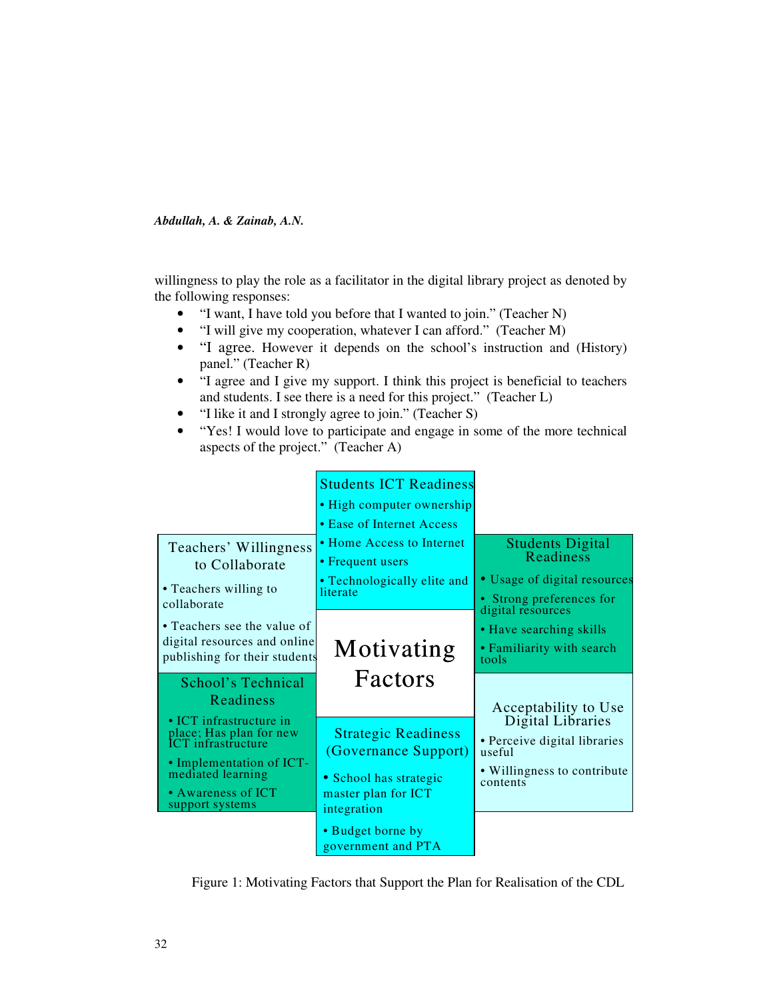willingness to play the role as a facilitator in the digital library project as denoted by the following responses:

- "I want, I have told you before that I wanted to join." (Teacher N)
- "I will give my cooperation, whatever I can afford." (Teacher M)
- "I agree. However it depends on the school's instruction and (History) panel." (Teacher R)
- "I agree and I give my support. I think this project is beneficial to teachers and students. I see there is a need for this project." (Teacher L)
- "I like it and I strongly agree to join." (Teacher S)
- "Yes! I would love to participate and engage in some of the more technical aspects of the project." (Teacher A)



Figure 1: Motivating Factors that Support the Plan for Realisation of the CDL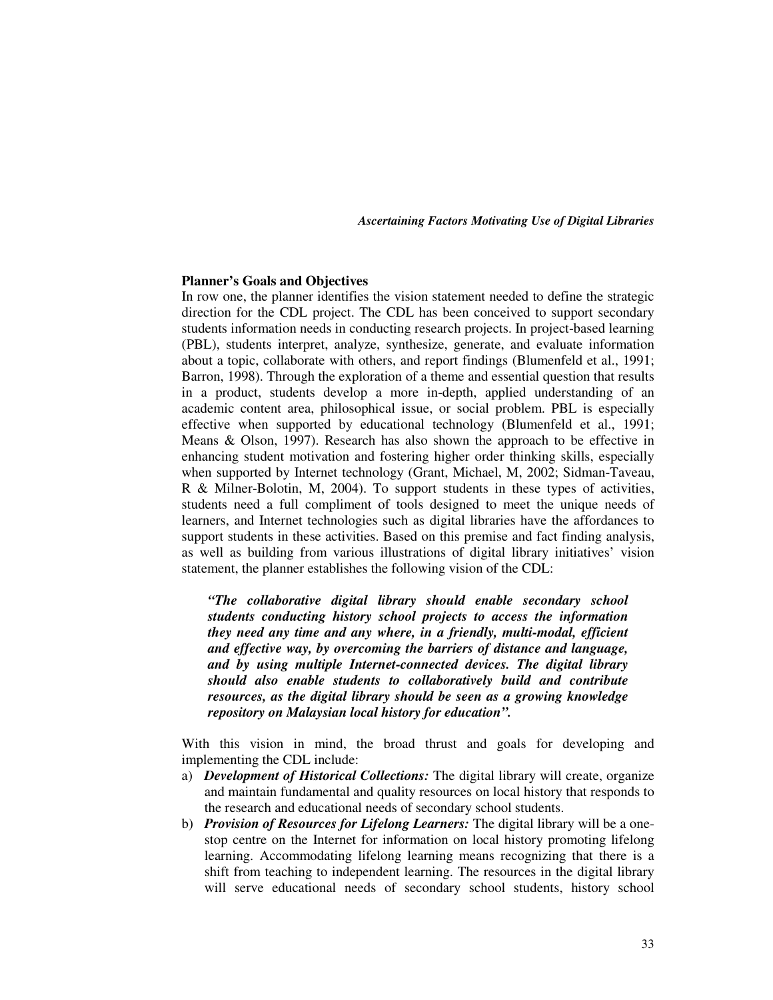#### **Planner's Goals and Objectives**

In row one, the planner identifies the vision statement needed to define the strategic direction for the CDL project. The CDL has been conceived to support secondary students information needs in conducting research projects. In project-based learning (PBL), students interpret, analyze, synthesize, generate, and evaluate information about a topic, collaborate with others, and report findings (Blumenfeld et al., 1991; Barron, 1998). Through the exploration of a theme and essential question that results in a product, students develop a more in-depth, applied understanding of an academic content area, philosophical issue, or social problem. PBL is especially effective when supported by educational technology (Blumenfeld et al., 1991; Means & Olson, 1997). Research has also shown the approach to be effective in enhancing student motivation and fostering higher order thinking skills, especially when supported by Internet technology (Grant, Michael, M, 2002; Sidman-Taveau, R & Milner-Bolotin, M, 2004). To support students in these types of activities, students need a full compliment of tools designed to meet the unique needs of learners, and Internet technologies such as digital libraries have the affordances to support students in these activities. Based on this premise and fact finding analysis, as well as building from various illustrations of digital library initiatives' vision statement, the planner establishes the following vision of the CDL:

*"The collaborative digital library should enable secondary school students conducting history school projects to access the information they need any time and any where, in a friendly, multi-modal, efficient and effective way, by overcoming the barriers of distance and language, and by using multiple Internet-connected devices. The digital library should also enable students to collaboratively build and contribute resources, as the digital library should be seen as a growing knowledge repository on Malaysian local history for education".* 

With this vision in mind, the broad thrust and goals for developing and implementing the CDL include:

- a) *Development of Historical Collections:* The digital library will create, organize and maintain fundamental and quality resources on local history that responds to the research and educational needs of secondary school students.
- b) *Provision of Resources for Lifelong Learners:* The digital library will be a onestop centre on the Internet for information on local history promoting lifelong learning. Accommodating lifelong learning means recognizing that there is a shift from teaching to independent learning. The resources in the digital library will serve educational needs of secondary school students, history school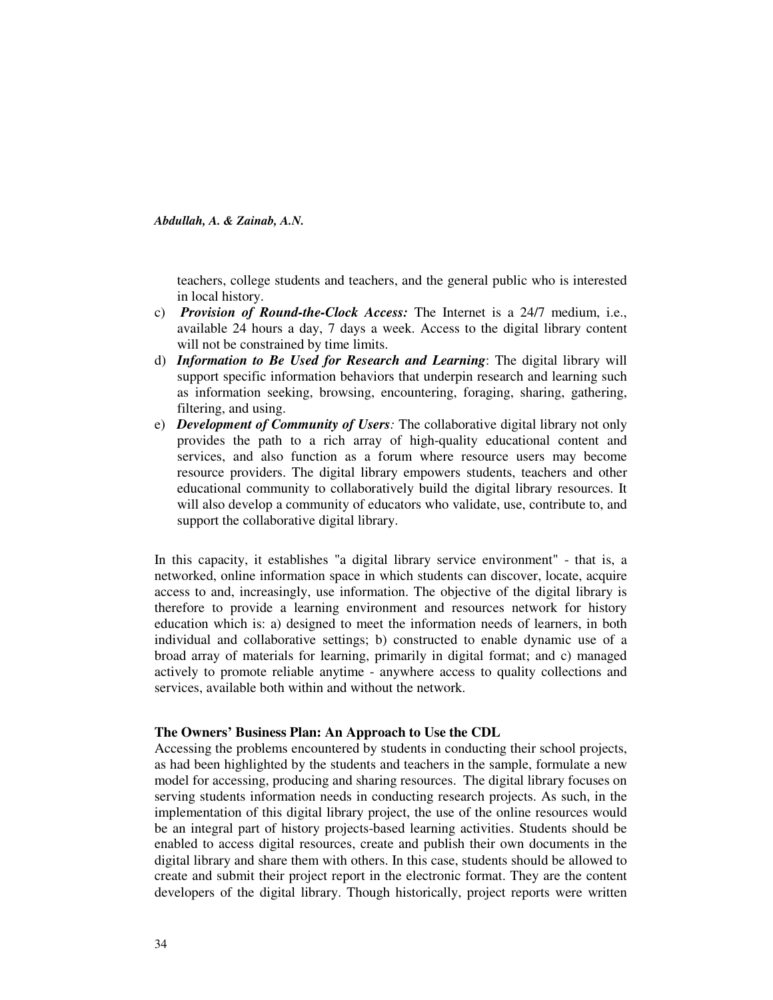teachers, college students and teachers, and the general public who is interested in local history.

- c) *Provision of Round-the-Clock Access:* The Internet is a 24/7 medium, i.e., available 24 hours a day, 7 days a week. Access to the digital library content will not be constrained by time limits.
- d) *Information to Be Used for Research and Learning*: The digital library will support specific information behaviors that underpin research and learning such as information seeking, browsing, encountering, foraging, sharing, gathering, filtering, and using.
- e) *Development of Community of Users:* The collaborative digital library not only provides the path to a rich array of high-quality educational content and services, and also function as a forum where resource users may become resource providers. The digital library empowers students, teachers and other educational community to collaboratively build the digital library resources. It will also develop a community of educators who validate, use, contribute to, and support the collaborative digital library.

In this capacity, it establishes "a digital library service environment" - that is, a networked, online information space in which students can discover, locate, acquire access to and, increasingly, use information. The objective of the digital library is therefore to provide a learning environment and resources network for history education which is: a) designed to meet the information needs of learners, in both individual and collaborative settings; b) constructed to enable dynamic use of a broad array of materials for learning, primarily in digital format; and c) managed actively to promote reliable anytime - anywhere access to quality collections and services, available both within and without the network.

### **The Owners' Business Plan: An Approach to Use the CDL**

Accessing the problems encountered by students in conducting their school projects, as had been highlighted by the students and teachers in the sample, formulate a new model for accessing, producing and sharing resources. The digital library focuses on serving students information needs in conducting research projects. As such, in the implementation of this digital library project, the use of the online resources would be an integral part of history projects-based learning activities. Students should be enabled to access digital resources, create and publish their own documents in the digital library and share them with others. In this case, students should be allowed to create and submit their project report in the electronic format. They are the content developers of the digital library. Though historically, project reports were written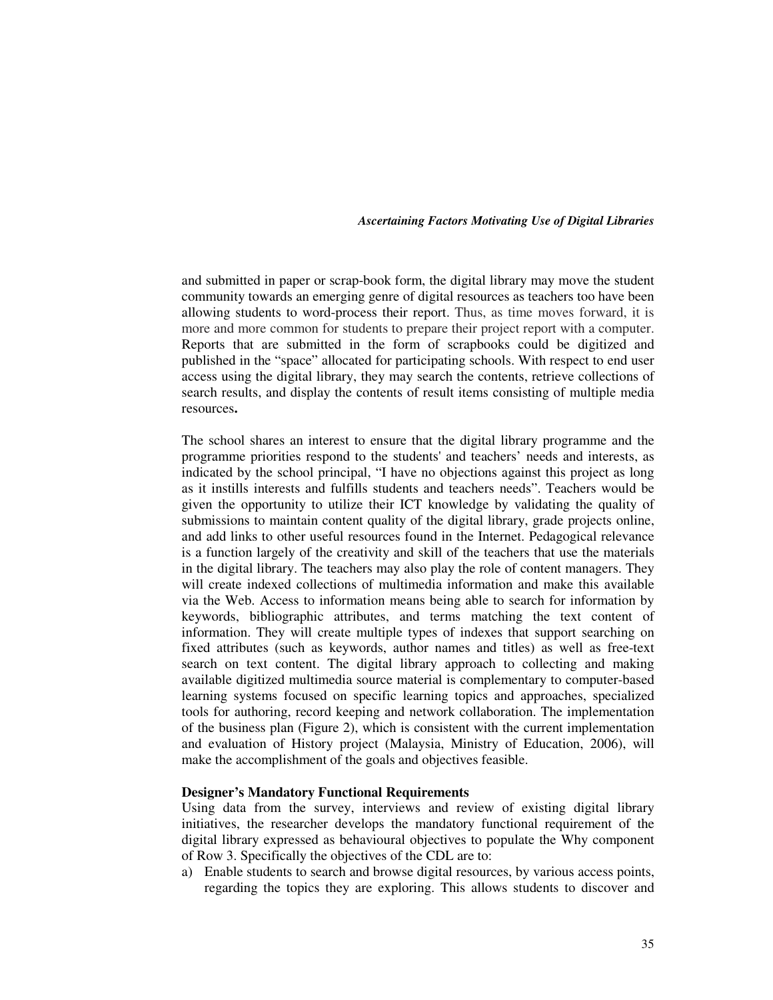and submitted in paper or scrap-book form, the digital library may move the student community towards an emerging genre of digital resources as teachers too have been allowing students to word-process their report. Thus, as time moves forward, it is more and more common for students to prepare their project report with a computer. Reports that are submitted in the form of scrapbooks could be digitized and published in the "space" allocated for participating schools. With respect to end user access using the digital library, they may search the contents, retrieve collections of search results, and display the contents of result items consisting of multiple media resources**.** 

The school shares an interest to ensure that the digital library programme and the programme priorities respond to the students' and teachers' needs and interests, as indicated by the school principal, "I have no objections against this project as long as it instills interests and fulfills students and teachers needs". Teachers would be given the opportunity to utilize their ICT knowledge by validating the quality of submissions to maintain content quality of the digital library, grade projects online, and add links to other useful resources found in the Internet. Pedagogical relevance is a function largely of the creativity and skill of the teachers that use the materials in the digital library. The teachers may also play the role of content managers. They will create indexed collections of multimedia information and make this available via the Web. Access to information means being able to search for information by keywords, bibliographic attributes, and terms matching the text content of information. They will create multiple types of indexes that support searching on fixed attributes (such as keywords, author names and titles) as well as free-text search on text content. The digital library approach to collecting and making available digitized multimedia source material is complementary to computer-based learning systems focused on specific learning topics and approaches, specialized tools for authoring, record keeping and network collaboration. The implementation of the business plan (Figure 2), which is consistent with the current implementation and evaluation of History project (Malaysia, Ministry of Education, 2006), will make the accomplishment of the goals and objectives feasible.

### **Designer's Mandatory Functional Requirements**

Using data from the survey, interviews and review of existing digital library initiatives, the researcher develops the mandatory functional requirement of the digital library expressed as behavioural objectives to populate the Why component of Row 3. Specifically the objectives of the CDL are to:

a) Enable students to search and browse digital resources, by various access points, regarding the topics they are exploring. This allows students to discover and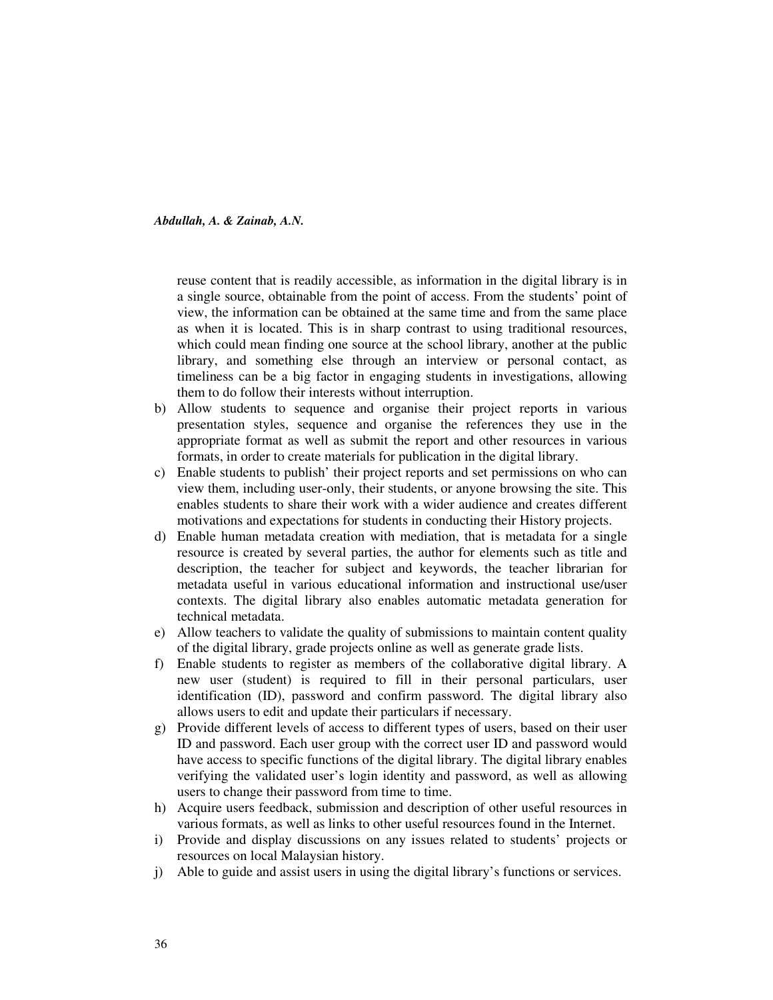reuse content that is readily accessible, as information in the digital library is in a single source, obtainable from the point of access. From the students' point of view, the information can be obtained at the same time and from the same place as when it is located. This is in sharp contrast to using traditional resources, which could mean finding one source at the school library, another at the public library, and something else through an interview or personal contact, as timeliness can be a big factor in engaging students in investigations, allowing them to do follow their interests without interruption.

- b) Allow students to sequence and organise their project reports in various presentation styles, sequence and organise the references they use in the appropriate format as well as submit the report and other resources in various formats, in order to create materials for publication in the digital library.
- c) Enable students to publish' their project reports and set permissions on who can view them, including user-only, their students, or anyone browsing the site. This enables students to share their work with a wider audience and creates different motivations and expectations for students in conducting their History projects.
- d) Enable human metadata creation with mediation, that is metadata for a single resource is created by several parties, the author for elements such as title and description, the teacher for subject and keywords, the teacher librarian for metadata useful in various educational information and instructional use/user contexts. The digital library also enables automatic metadata generation for technical metadata.
- e) Allow teachers to validate the quality of submissions to maintain content quality of the digital library, grade projects online as well as generate grade lists.
- f) Enable students to register as members of the collaborative digital library. A new user (student) is required to fill in their personal particulars, user identification (ID), password and confirm password. The digital library also allows users to edit and update their particulars if necessary.
- g) Provide different levels of access to different types of users, based on their user ID and password. Each user group with the correct user ID and password would have access to specific functions of the digital library. The digital library enables verifying the validated user's login identity and password, as well as allowing users to change their password from time to time.
- h) Acquire users feedback, submission and description of other useful resources in various formats, as well as links to other useful resources found in the Internet.
- i) Provide and display discussions on any issues related to students' projects or resources on local Malaysian history.
- j) Able to guide and assist users in using the digital library's functions or services.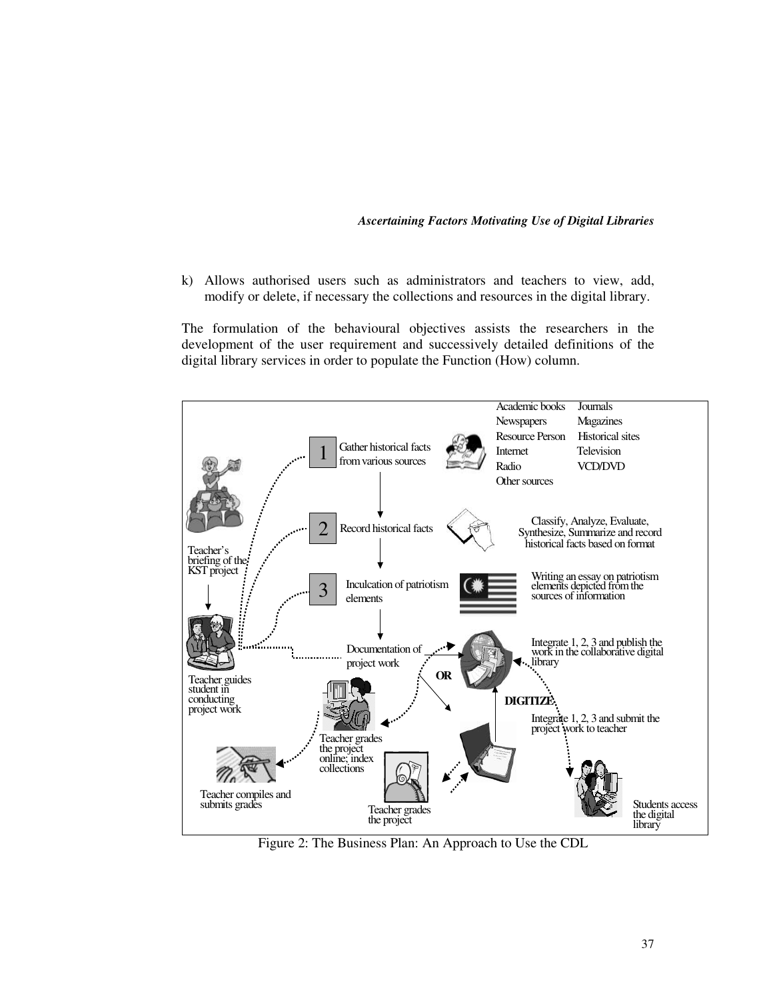k) Allows authorised users such as administrators and teachers to view, add, modify or delete, if necessary the collections and resources in the digital library.

The formulation of the behavioural objectives assists the researchers in the development of the user requirement and successively detailed definitions of the digital library services in order to populate the Function (How) column.



Figure 2: The Business Plan: An Approach to Use the CDL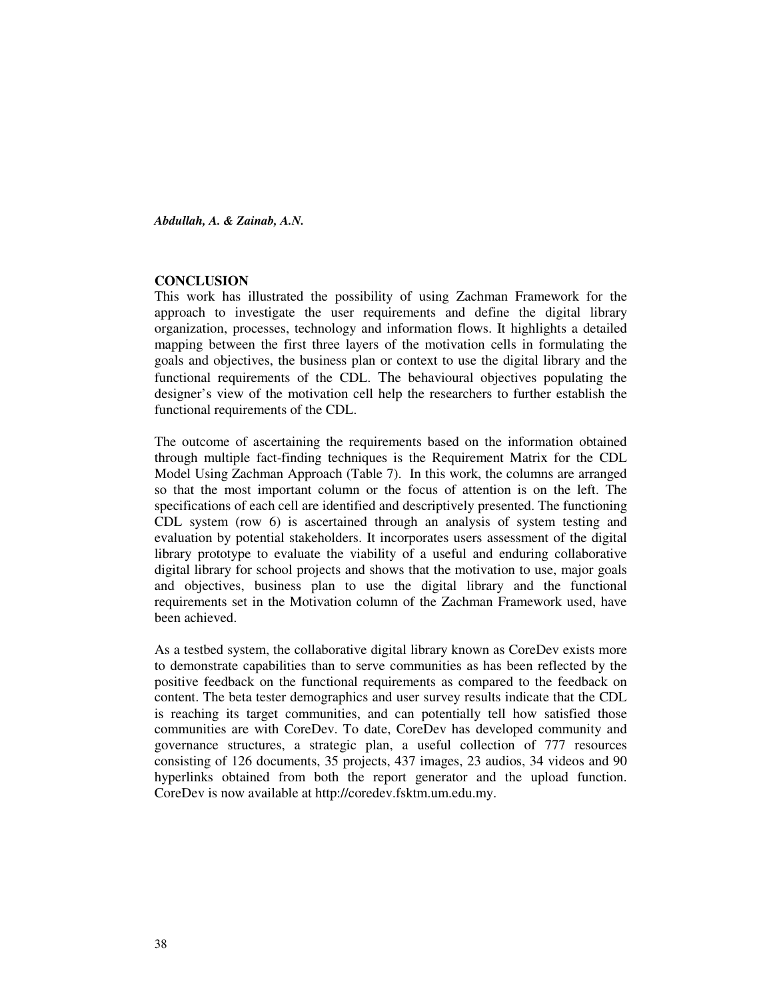### **CONCLUSION**

This work has illustrated the possibility of using Zachman Framework for the approach to investigate the user requirements and define the digital library organization, processes, technology and information flows. It highlights a detailed mapping between the first three layers of the motivation cells in formulating the goals and objectives, the business plan or context to use the digital library and the functional requirements of the CDL. The behavioural objectives populating the designer's view of the motivation cell help the researchers to further establish the functional requirements of the CDL.

The outcome of ascertaining the requirements based on the information obtained through multiple fact-finding techniques is the Requirement Matrix for the CDL Model Using Zachman Approach (Table 7). In this work, the columns are arranged so that the most important column or the focus of attention is on the left. The specifications of each cell are identified and descriptively presented. The functioning CDL system (row 6) is ascertained through an analysis of system testing and evaluation by potential stakeholders. It incorporates users assessment of the digital library prototype to evaluate the viability of a useful and enduring collaborative digital library for school projects and shows that the motivation to use, major goals and objectives, business plan to use the digital library and the functional requirements set in the Motivation column of the Zachman Framework used, have been achieved.

As a testbed system, the collaborative digital library known as CoreDev exists more to demonstrate capabilities than to serve communities as has been reflected by the positive feedback on the functional requirements as compared to the feedback on content. The beta tester demographics and user survey results indicate that the CDL is reaching its target communities, and can potentially tell how satisfied those communities are with CoreDev. To date, CoreDev has developed community and governance structures, a strategic plan, a useful collection of 777 resources consisting of 126 documents, 35 projects, 437 images, 23 audios, 34 videos and 90 hyperlinks obtained from both the report generator and the upload function. CoreDev is now available at http://coredev.fsktm.um.edu.my.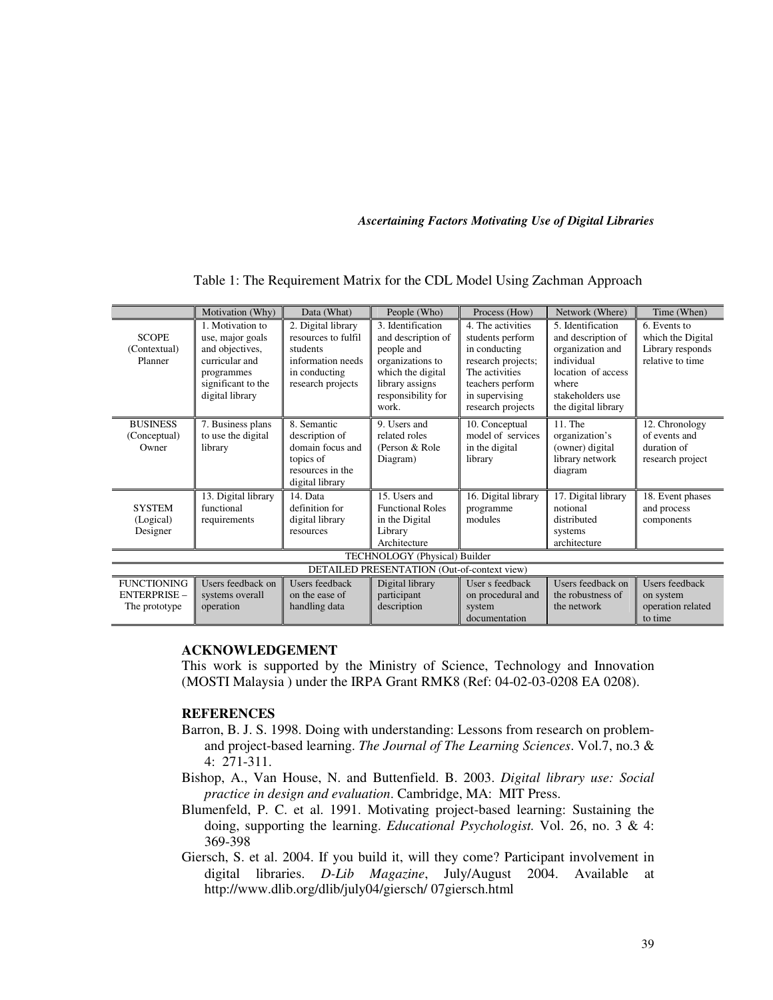|                                                            | Motivation (Why)                                                                                                                 | Data (What)                                                                                                      | People (Who)                                                                                                                                     | Process (How)                                                                                                                                             | Network (Where)                                                                                                                                     | Time (When)                                                               |  |  |
|------------------------------------------------------------|----------------------------------------------------------------------------------------------------------------------------------|------------------------------------------------------------------------------------------------------------------|--------------------------------------------------------------------------------------------------------------------------------------------------|-----------------------------------------------------------------------------------------------------------------------------------------------------------|-----------------------------------------------------------------------------------------------------------------------------------------------------|---------------------------------------------------------------------------|--|--|
| <b>SCOPE</b><br>(Contextual)<br>Planner                    | 1. Motivation to<br>use, major goals<br>and objectives,<br>curricular and<br>programmes<br>significant to the<br>digital library | 2. Digital library<br>resources to fulfil<br>students<br>information needs<br>in conducting<br>research projects | 3. Identification<br>and description of<br>people and<br>organizations to<br>which the digital<br>library assigns<br>responsibility for<br>work. | 4. The activities<br>students perform<br>in conducting<br>research projects;<br>The activities<br>teachers perform<br>in supervising<br>research projects | 5. Identification<br>and description of<br>organization and<br>individual<br>location of access<br>where<br>stakeholders use<br>the digital library | 6. Events to<br>which the Digital<br>Library responds<br>relative to time |  |  |
| <b>BUSINESS</b><br>(Conceptual)<br>Owner                   | 7. Business plans<br>to use the digital<br>library                                                                               | 8. Semantic<br>description of<br>domain focus and<br>topics of<br>resources in the<br>digital library            | 9. Users and<br>related roles<br>(Person & Role)<br>Diagram)                                                                                     | 10. Conceptual<br>model of services<br>in the digital<br>library                                                                                          | 11. The<br>organization's<br>(owner) digital<br>library network<br>diagram                                                                          | 12. Chronology<br>of events and<br>duration of<br>research project        |  |  |
| <b>SYSTEM</b><br>(Logical)<br>Designer                     | 13. Digital library<br>functional<br>requirements                                                                                | 14. Data<br>definition for<br>digital library<br>resources                                                       | 15. Users and<br><b>Functional Roles</b><br>in the Digital<br>Library<br>Architecture                                                            | 16. Digital library<br>programme<br>modules                                                                                                               | 17. Digital library<br>notional<br>distributed<br>systems<br>architecture                                                                           | 18. Event phases<br>and process<br>components                             |  |  |
| TECHNOLOGY (Physical) Builder                              |                                                                                                                                  |                                                                                                                  |                                                                                                                                                  |                                                                                                                                                           |                                                                                                                                                     |                                                                           |  |  |
| DETAILED PRESENTATION (Out-of-context view)                |                                                                                                                                  |                                                                                                                  |                                                                                                                                                  |                                                                                                                                                           |                                                                                                                                                     |                                                                           |  |  |
| <b>FUNCTIONING</b><br><b>ENTERPRISE -</b><br>The prototype | Users feedback on<br>systems overall<br>operation                                                                                | Users feedback<br>on the ease of<br>handling data                                                                | Digital library<br>participant<br>description                                                                                                    | User s feedback<br>on procedural and<br>system<br>documentation                                                                                           | Users feedback on<br>the robustness of<br>the network                                                                                               | <b>Users</b> feedback<br>on system<br>operation related<br>to time        |  |  |

Table 1: The Requirement Matrix for the CDL Model Using Zachman Approach

## **ACKNOWLEDGEMENT**

This work is supported by the Ministry of Science, Technology and Innovation (MOSTI Malaysia ) under the IRPA Grant RMK8 (Ref: 04-02-03-0208 EA 0208).

## **REFERENCES**

- Barron, B. J. S. 1998. Doing with understanding: Lessons from research on problemand project-based learning. *The Journal of The Learning Sciences*. Vol.7, no.3 & 4: 271-311.
- Bishop, A., Van House, N. and Buttenfield. B. 2003. *Digital library use: Social practice in design and evaluation*. Cambridge, MA: MIT Press.
- Blumenfeld, P. C. et al. 1991. Motivating project-based learning: Sustaining the doing, supporting the learning. *Educational Psychologist.* Vol. 26, no. 3 & 4: 369-398
- Giersch, S. et al. 2004. If you build it, will they come? Participant involvement in digital libraries. *D-Lib Magazine*, July/August 2004. Available at http://www.dlib.org/dlib/july04/giersch/ 07giersch.html